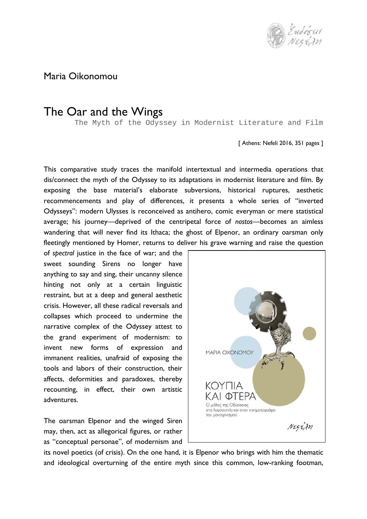

Maria Oikonomou

## The Oar and the Wings

The Myth of the Odyssey in Modernist Literature and Film

[ Athens: Nefeli 2016, 351 pages ]

This comparative study traces the manifold intertextual and intermedia operations that dis/connect the myth of the Odyssey to its adaptations in modernist literature and film. By exposing the base material's elaborate subversions, historical ruptures, aesthetic recommencements and play of differences, it presents a whole series of "inverted Odysseys": modern Ulysses is reconceived as antihero, comic everyman or mere statistical average; his journey—deprived of the centripetal force of *nostos*—becomes an aimless wandering that will never find its Ithaca; the ghost of Elpenor, an ordinary oarsman only fleetingly mentioned by Homer, returns to deliver his grave warning and raise the question

of *spectral* justice in the face of war; and the sweet sounding Sirens no longer have anything to say and sing, their uncanny silence hinting not only at a certain linguistic restraint, but at a deep and general aesthetic crisis. However, all these radical reversals and collapses which proceed to undermine the narrative complex of the Odyssey attest to the grand experiment of modernism: to invent new forms of expression and immanent realities, unafraid of exposing the tools and labors of their construction, their affects, deformities and paradoxes, thereby recounting, in effect, their own artistic adventures.

The oarsman Elpenor and the winged Siren may, then, act as allegorical figures, or rather as "conceptual personae", of modernism and



its novel poetics (of crisis). On the one hand, it is Elpenor who brings with him the thematic and ideological overturning of the entire myth since this common, low-ranking footman,